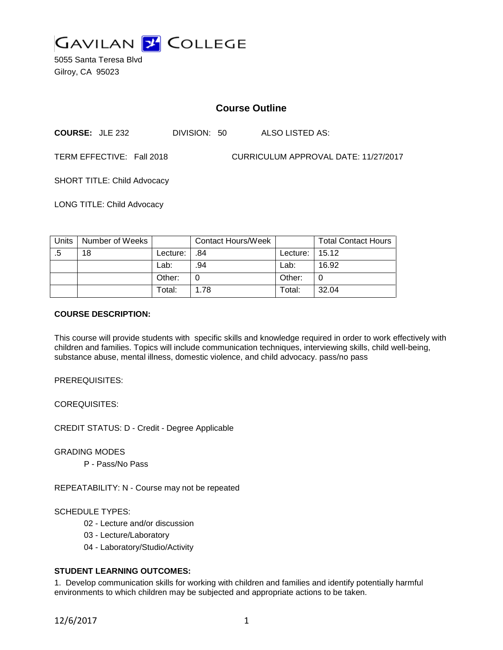

5055 Santa Teresa Blvd Gilroy, CA 95023

# **Course Outline**

**COURSE:** JLE 232 DIVISION: 50 ALSO LISTED AS:

TERM EFFECTIVE: Fall 2018 CURRICULUM APPROVAL DATE: 11/27/2017

SHORT TITLE: Child Advocacy

LONG TITLE: Child Advocacy

| Units | Number of Weeks |          | Contact Hours/Week |                | <b>Total Contact Hours</b> |
|-------|-----------------|----------|--------------------|----------------|----------------------------|
| .5    | 18              | Lecture: | .84                | Lecture: 15.12 |                            |
|       |                 | Lab:     | .94                | Lab:           | 16.92                      |
|       |                 | Other:   |                    | Other:         |                            |
|       |                 | Total:   | 1.78               | Total:         | 32.04                      |

#### **COURSE DESCRIPTION:**

This course will provide students with specific skills and knowledge required in order to work effectively with children and families. Topics will include communication techniques, interviewing skills, child well-being, substance abuse, mental illness, domestic violence, and child advocacy. pass/no pass

PREREQUISITES:

COREQUISITES:

CREDIT STATUS: D - Credit - Degree Applicable

GRADING MODES

P - Pass/No Pass

REPEATABILITY: N - Course may not be repeated

#### SCHEDULE TYPES:

- 02 Lecture and/or discussion
- 03 Lecture/Laboratory
- 04 Laboratory/Studio/Activity

## **STUDENT LEARNING OUTCOMES:**

1. Develop communication skills for working with children and families and identify potentially harmful environments to which children may be subjected and appropriate actions to be taken.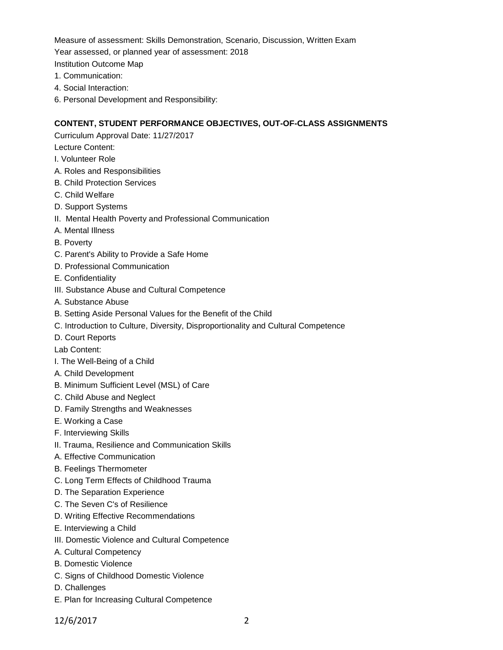Measure of assessment: Skills Demonstration, Scenario, Discussion, Written Exam

Year assessed, or planned year of assessment: 2018

Institution Outcome Map

- 1. Communication:
- 4. Social Interaction:
- 6. Personal Development and Responsibility:

## **CONTENT, STUDENT PERFORMANCE OBJECTIVES, OUT-OF-CLASS ASSIGNMENTS**

Curriculum Approval Date: 11/27/2017

- Lecture Content:
- I. Volunteer Role
- A. Roles and Responsibilities
- B. Child Protection Services
- C. Child Welfare
- D. Support Systems
- II. Mental Health Poverty and Professional Communication
- A. Mental Illness
- B. Poverty
- C. Parent's Ability to Provide a Safe Home
- D. Professional Communication
- E. Confidentiality
- III. Substance Abuse and Cultural Competence
- A. Substance Abuse
- B. Setting Aside Personal Values for the Benefit of the Child
- C. Introduction to Culture, Diversity, Disproportionality and Cultural Competence
- D. Court Reports
- Lab Content:
- I. The Well-Being of a Child
- A. Child Development
- B. Minimum Sufficient Level (MSL) of Care
- C. Child Abuse and Neglect
- D. Family Strengths and Weaknesses
- E. Working a Case
- F. Interviewing Skills
- II. Trauma, Resilience and Communication Skills
- A. Effective Communication
- B. Feelings Thermometer
- C. Long Term Effects of Childhood Trauma
- D. The Separation Experience
- C. The Seven C's of Resilience
- D. Writing Effective Recommendations
- E. Interviewing a Child
- III. Domestic Violence and Cultural Competence
- A. Cultural Competency
- B. Domestic Violence
- C. Signs of Childhood Domestic Violence
- D. Challenges
- E. Plan for Increasing Cultural Competence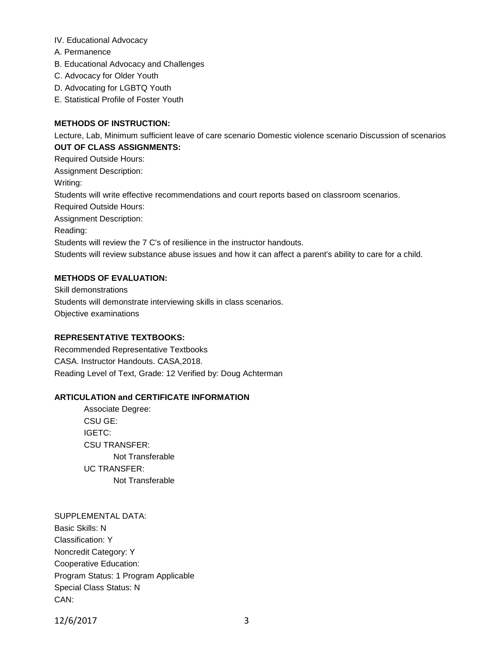#### IV. Educational Advocacy

- A. Permanence
- B. Educational Advocacy and Challenges
- C. Advocacy for Older Youth
- D. Advocating for LGBTQ Youth
- E. Statistical Profile of Foster Youth

## **METHODS OF INSTRUCTION:**

Lecture, Lab, Minimum sufficient leave of care scenario Domestic violence scenario Discussion of scenarios **OUT OF CLASS ASSIGNMENTS:** Required Outside Hours: Assignment Description: Writing: Students will write effective recommendations and court reports based on classroom scenarios. Required Outside Hours: Assignment Description: Reading: Students will review the 7 C's of resilience in the instructor handouts. Students will review substance abuse issues and how it can affect a parent's ability to care for a child.

## **METHODS OF EVALUATION:**

Skill demonstrations Students will demonstrate interviewing skills in class scenarios. Objective examinations

### **REPRESENTATIVE TEXTBOOKS:**

Recommended Representative Textbooks CASA. Instructor Handouts. CASA,2018. Reading Level of Text, Grade: 12 Verified by: Doug Achterman

### **ARTICULATION and CERTIFICATE INFORMATION**

Associate Degree: CSU GE: IGETC: CSU TRANSFER: Not Transferable UC TRANSFER: Not Transferable

SUPPLEMENTAL DATA: Basic Skills: N Classification: Y Noncredit Category: Y Cooperative Education: Program Status: 1 Program Applicable Special Class Status: N CAN:

12/6/2017 3